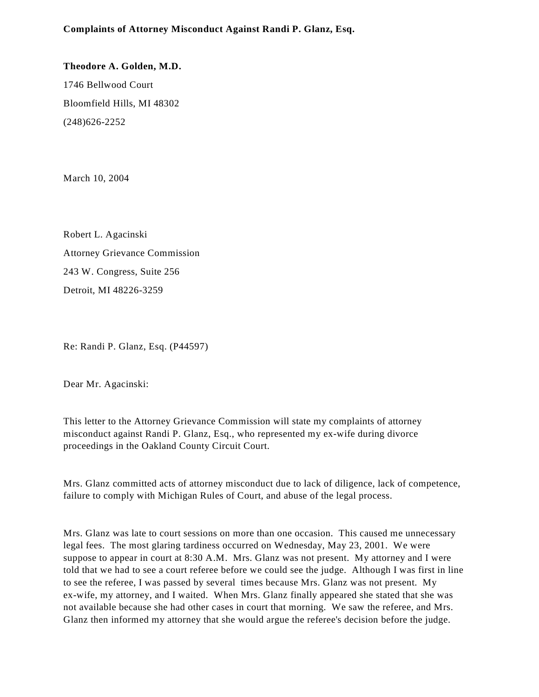**Complaints of Attorney Misconduct Against Randi P. Glanz, Esq.**

**Theodore A. Golden, M.D.** 1746 Bellwood Court Bloomfield Hills, MI 48302 (248)626-2252

March 10, 2004

Robert L. Agacinski Attorney Grievance Commission 243 W. Congress, Suite 256 Detroit, MI 48226-3259

Re: Randi P. Glanz, Esq. (P44597)

Dear Mr. Agacinski:

This letter to the Attorney Grievance Commission will state my complaints of attorney misconduct against Randi P. Glanz, Esq., who represented my ex-wife during divorce proceedings in the Oakland County Circuit Court.

Mrs. Glanz committed acts of attorney misconduct due to lack of diligence, lack of competence, failure to comply with Michigan Rules of Court, and abuse of the legal process.

Mrs. Glanz was late to court sessions on more than one occasion. This caused me unnecessary legal fees. The most glaring tardiness occurred on Wednesday, May 23, 2001. We were suppose to appear in court at 8:30 A.M. Mrs. Glanz was not present. My attorney and I were told that we had to see a court referee before we could see the judge. Although I was first in line to see the referee, I was passed by several times because Mrs. Glanz was not present. My ex-wife, my attorney, and I waited. When Mrs. Glanz finally appeared she stated that she was not available because she had other cases in court that morning. We saw the referee, and Mrs. Glanz then informed my attorney that she would argue the referee's decision before the judge.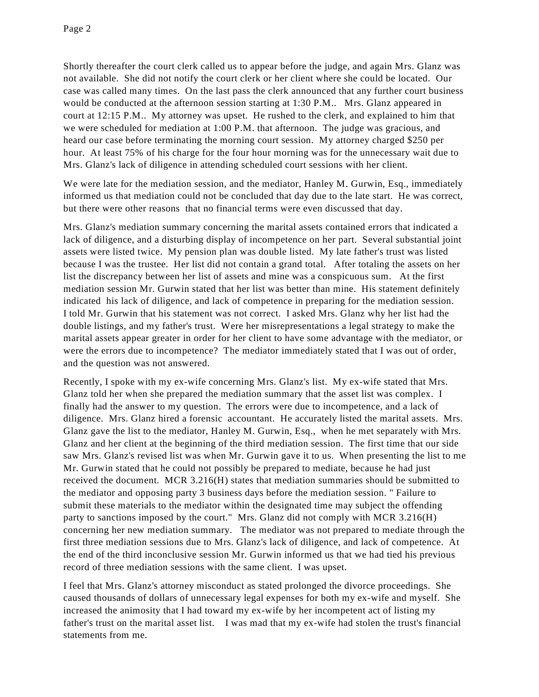Shortly thereafter the court clerk called us to appear before the judge, and again Mrs. Glanz was not available. She did not notify the court clerk or her client where she could be located. Our case was called many times. On the last pass the clerk announced that any further court business would be conducted at the afternoon session starting at 1:30 P.M.. Mrs. Glanz appeared in court at 12:15 P.M.. My attorney was upset. He rushed to the clerk, and explained to him that we were scheduled for mediation at 1:00 P.M. that afternoon. The judge was gracious, and heard our case before terminating the morning court session. My attorney charged \$250 per hour. At least 75% of his charge for the four hour morning was for the unnecessary wait due to Mrs. Glanz's lack of diligence in attending scheduled court sessions with her client.

We were late for the mediation session, and the mediator, Hanley M. Gurwin, Esq., immediately informed us that mediation could not be concluded that day due to the late start. He was correct, but there were other reasons that no financial terms were even discussed that day.

Mrs. Glanz's mediation summary concerning the marital assets contained errors that indicated a lack of diligence, and a disturbing display of incompetence on her part. Several substantial joint assets were listed twice. My pension plan was double listed. My late father's trust was listed because I was the trustee. Her list did not contain a grand total. After totaling the assets on her list the discrepancy between her list of assets and mine was a conspicuous sum. At the first mediation session Mr. Gurwin stated that her list was better than mine. His statement definitely indicated his lack of diligence, and lack of competence in preparing for the mediation session. I told Mr. Gurwin that his statement was not correct. I asked Mrs. Glanz why her list had the double listings, and my father's trust. Were her misrepresentations a legal strategy to make the marital assets appear greater in order for her client to have some advantage with the mediator, or were the errors due to incompetence? The mediator immediately stated that I was out of order, and the question was not answered.

Recently, I spoke with my ex-wife concerning Mrs. Glanz's list. My ex-wife stated that Mrs. Glanz told her when she prepared the mediation summary that the asset list was complex. I finally had the answer to my question. The errors were due to incompetence, and a lack of diligence. Mrs. Glanz hired a forensic accountant. He accurately listed the marital assets. Mrs. Glanz gave the list to the mediator, Hanley M. Gurwin, Esq., when he met separately with Mrs. Glanz and her client at the beginning of the third mediation session. The first time that our side saw Mrs. Glanz's revised list was when Mr. Gurwin gave it to us. When presenting the list to me Mr. Gurwin stated that he could not possibly be prepared to mediate, because he had just received the document. MCR 3.216(H) states that mediation summaries should be submitted to the mediator and opposing party 3 business days before the mediation session. " Failure to submit these materials to the mediator within the designated time may subject the offending party to sanctions imposed by the court." Mrs. Glanz did not comply with MCR 3.216(H) concerning her new mediation summary. The mediator was not prepared to mediate through the first three mediation sessions due to Mrs. Glanz's lack of diligence, and lack of competence. At the end of the third inconclusive session Mr. Gurwin informed us that we had tied his previous record of three mediation sessions with the same client. I was upset.

I feel that Mrs. Glanz's attorney misconduct as stated prolonged the divorce proceedings. She caused thousands of dollars of unnecessary legal expenses for both my ex-wife and myself. She increased the animosity that I had toward my ex-wife by her incompetent act of listing my father's trust on the marital asset list. I was mad that my ex-wife had stolen the trust's financial statements from me.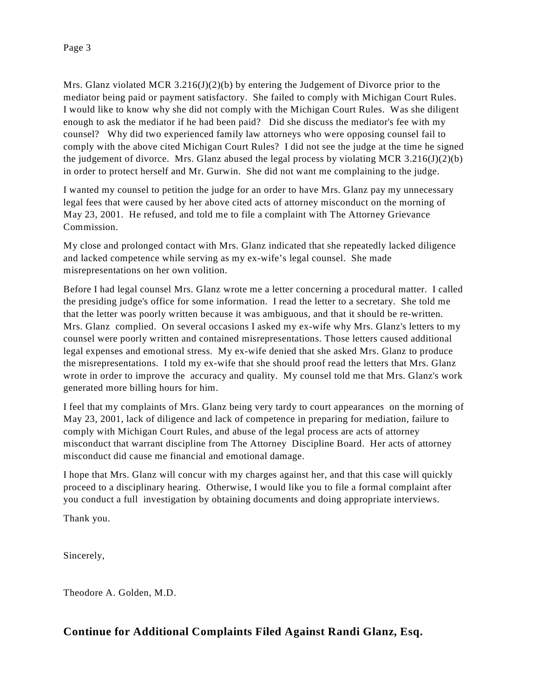Mrs. Glanz violated MCR  $3.216(J)(2)(b)$  by entering the Judgement of Divorce prior to the mediator being paid or payment satisfactory. She failed to comply with Michigan Court Rules. I would like to know why she did not comply with the Michigan Court Rules. Was she diligent enough to ask the mediator if he had been paid? Did she discuss the mediator's fee with my counsel? Why did two experienced family law attorneys who were opposing counsel fail to comply with the above cited Michigan Court Rules? I did not see the judge at the time he signed the judgement of divorce. Mrs. Glanz abused the legal process by violating MCR 3.216(J)(2)(b) in order to protect herself and Mr. Gurwin. She did not want me complaining to the judge.

I wanted my counsel to petition the judge for an order to have Mrs. Glanz pay my unnecessary legal fees that were caused by her above cited acts of attorney misconduct on the morning of May 23, 2001. He refused, and told me to file a complaint with The Attorney Grievance Commission.

My close and prolonged contact with Mrs. Glanz indicated that she repeatedly lacked diligence and lacked competence while serving as my ex-wife's legal counsel. She made misrepresentations on her own volition.

Before I had legal counsel Mrs. Glanz wrote me a letter concerning a procedural matter. I called the presiding judge's office for some information. I read the letter to a secretary. She told me that the letter was poorly written because it was ambiguous, and that it should be re-written. Mrs. Glanz complied. On several occasions I asked my ex-wife why Mrs. Glanz's letters to my counsel were poorly written and contained misrepresentations. Those letters caused additional legal expenses and emotional stress. My ex-wife denied that she asked Mrs. Glanz to produce the misrepresentations. I told my ex-wife that she should proof read the letters that Mrs. Glanz wrote in order to improve the accuracy and quality. My counsel told me that Mrs. Glanz's work generated more billing hours for him.

I feel that my complaints of Mrs. Glanz being very tardy to court appearances on the morning of May 23, 2001, lack of diligence and lack of competence in preparing for mediation, failure to comply with Michigan Court Rules, and abuse of the legal process are acts of attorney misconduct that warrant discipline from The Attorney Discipline Board. Her acts of attorney misconduct did cause me financial and emotional damage.

I hope that Mrs. Glanz will concur with my charges against her, and that this case will quickly proceed to a disciplinary hearing. Otherwise, I would like you to file a formal complaint after you conduct a full investigation by obtaining documents and doing appropriate interviews.

Thank you.

Sincerely,

Theodore A. Golden, M.D.

## **Continue for Additional Complaints Filed Against Randi Glanz, Esq.**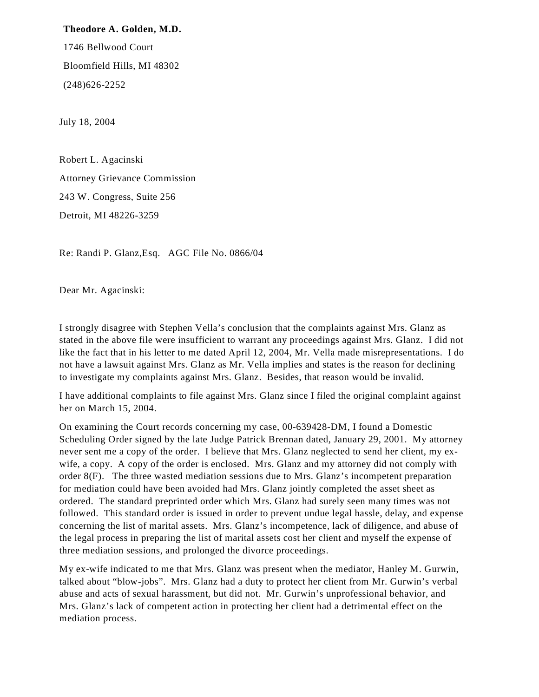## **Theodore A. Golden, M.D.**

1746 Bellwood Court Bloomfield Hills, MI 48302 (248)626-2252

July 18, 2004

Robert L. Agacinski Attorney Grievance Commission 243 W. Congress, Suite 256 Detroit, MI 48226-3259

Re: Randi P. Glanz,Esq. AGC File No. 0866/04

Dear Mr. Agacinski:

I strongly disagree with Stephen Vella's conclusion that the complaints against Mrs. Glanz as stated in the above file were insufficient to warrant any proceedings against Mrs. Glanz. I did not like the fact that in his letter to me dated April 12, 2004, Mr. Vella made misrepresentations. I do not have a lawsuit against Mrs. Glanz as Mr. Vella implies and states is the reason for declining to investigate my complaints against Mrs. Glanz. Besides, that reason would be invalid.

I have additional complaints to file against Mrs. Glanz since I filed the original complaint against her on March 15, 2004.

On examining the Court records concerning my case, 00-639428-DM, I found a Domestic Scheduling Order signed by the late Judge Patrick Brennan dated, January 29, 2001. My attorney never sent me a copy of the order. I believe that Mrs. Glanz neglected to send her client, my exwife, a copy. A copy of the order is enclosed. Mrs. Glanz and my attorney did not comply with order 8(F). The three wasted mediation sessions due to Mrs. Glanz's incompetent preparation for mediation could have been avoided had Mrs. Glanz jointly completed the asset sheet as ordered. The standard preprinted order which Mrs. Glanz had surely seen many times was not followed. This standard order is issued in order to prevent undue legal hassle, delay, and expense concerning the list of marital assets. Mrs. Glanz's incompetence, lack of diligence, and abuse of the legal process in preparing the list of marital assets cost her client and myself the expense of three mediation sessions, and prolonged the divorce proceedings.

My ex-wife indicated to me that Mrs. Glanz was present when the mediator, Hanley M. Gurwin, talked about "blow-jobs". Mrs. Glanz had a duty to protect her client from Mr. Gurwin's verbal abuse and acts of sexual harassment, but did not. Mr. Gurwin's unprofessional behavior, and Mrs. Glanz's lack of competent action in protecting her client had a detrimental effect on the mediation process.